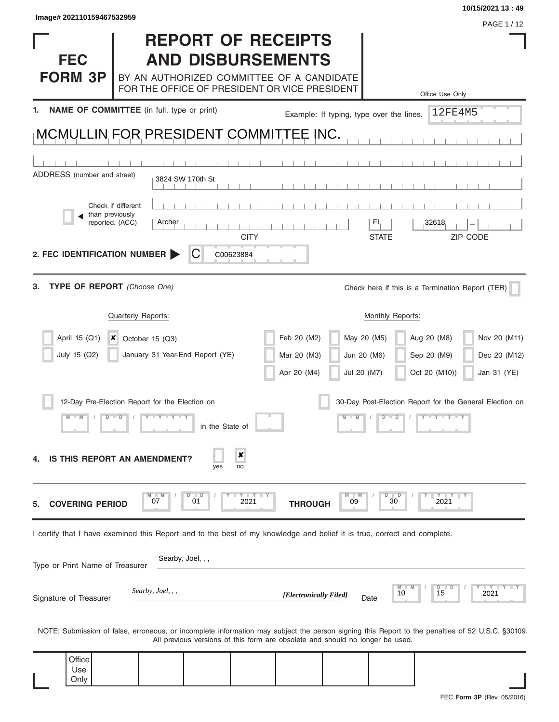**Only** 

 $\blacksquare$ Ŧ.

|                                                                                                                         | <b>REPORT OF RECEIPTS</b>                                                                  |                 |              |                        |                                                                               |                                          |                                                                                                                                                  |
|-------------------------------------------------------------------------------------------------------------------------|--------------------------------------------------------------------------------------------|-----------------|--------------|------------------------|-------------------------------------------------------------------------------|------------------------------------------|--------------------------------------------------------------------------------------------------------------------------------------------------|
| <b>FEC</b>                                                                                                              | <b>AND DISBURSEMENTS</b>                                                                   |                 |              |                        |                                                                               |                                          |                                                                                                                                                  |
| <b>FORM 3P</b>                                                                                                          | BY AN AUTHORIZED COMMITTEE OF A CANDIDATE<br>FOR THE OFFICE OF PRESIDENT OR VICE PRESIDENT |                 |              |                        |                                                                               |                                          |                                                                                                                                                  |
|                                                                                                                         |                                                                                            |                 |              |                        |                                                                               |                                          | Office Use Only                                                                                                                                  |
|                                                                                                                         | NAME OF COMMITTEE (in full, type or print)                                                 |                 |              |                        |                                                                               | Example: If typing, type over the lines. | 12FE4M5                                                                                                                                          |
| MCMULLIN FOR PRESIDENT COMMITTEE INC.                                                                                   |                                                                                            |                 |              |                        |                                                                               |                                          |                                                                                                                                                  |
|                                                                                                                         |                                                                                            |                 |              |                        |                                                                               |                                          |                                                                                                                                                  |
| ADDRESS (number and street)                                                                                             | 3824 SW 170th St                                                                           |                 |              |                        |                                                                               |                                          |                                                                                                                                                  |
| Check if different                                                                                                      |                                                                                            |                 |              |                        |                                                                               |                                          |                                                                                                                                                  |
| than previously<br>reported. (ACC)                                                                                      | Archer                                                                                     |                 |              |                        |                                                                               | FL                                       | 32618                                                                                                                                            |
|                                                                                                                         |                                                                                            |                 | <b>CITY</b>  |                        |                                                                               | <b>STATE</b>                             | ZIP CODE                                                                                                                                         |
| 2. FEC IDENTIFICATION NUMBER                                                                                            |                                                                                            | C<br>C00623884  |              |                        |                                                                               |                                          |                                                                                                                                                  |
| <b>TYPE OF REPORT</b> (Choose One)                                                                                      |                                                                                            |                 |              |                        |                                                                               |                                          | Check here if this is a Termination Report (TER)                                                                                                 |
|                                                                                                                         | Quarterly Reports:                                                                         |                 |              |                        |                                                                               | Monthly Reports:                         |                                                                                                                                                  |
| April 15 (Q1)<br>$\boldsymbol{x}$                                                                                       | October 15 (Q3)                                                                            |                 |              | Feb 20 (M2)            | May 20 (M5)                                                                   |                                          | Nov 20 (M11)<br>Aug 20 (M8)                                                                                                                      |
| July 15 (Q2)                                                                                                            | January 31 Year-End Report (YE)                                                            |                 |              | Mar 20 (M3)            | Jun 20 (M6)                                                                   |                                          | Sep 20 (M9)<br>Dec 20 (M12)                                                                                                                      |
|                                                                                                                         |                                                                                            |                 |              | Apr 20 (M4)            | Jul 20 (M7)                                                                   |                                          | Oct 20 (M10))<br>Jan 31 (YE)                                                                                                                     |
|                                                                                                                         | 12-Day Pre-Election Report for the Election on                                             |                 |              |                        |                                                                               |                                          | 30-Day Post-Election Report for the General Election on                                                                                          |
|                                                                                                                         |                                                                                            | in the State of |              |                        |                                                                               |                                          |                                                                                                                                                  |
|                                                                                                                         | <b>IS THIS REPORT AN AMENDMENT?</b>                                                        | yes             | x<br>no      |                        |                                                                               |                                          |                                                                                                                                                  |
| <b>COVERING PERIOD</b>                                                                                                  | 07                                                                                         | D<br>01         | Y TY<br>2021 | <b>THROUGH</b>         | M<br>09                                                                       | D<br>$\Box$<br>30                        | YY<br>2021                                                                                                                                       |
| I certify that I have examined this Report and to the best of my knowledge and belief it is true, correct and complete. |                                                                                            |                 |              |                        |                                                                               |                                          |                                                                                                                                                  |
| Type or Print Name of Treasurer                                                                                         | Searby, Joel, , ,                                                                          |                 |              |                        |                                                                               |                                          |                                                                                                                                                  |
| Signature of Treasurer                                                                                                  | Searby, Joel, , ,                                                                          |                 |              | [Electronically Filed] |                                                                               | 10<br>Date                               | $Y + Y$<br>D<br>D<br>15<br>2021                                                                                                                  |
|                                                                                                                         |                                                                                            |                 |              |                        | All previous versions of this form are obsolete and should no longer be used. |                                          | NOTE: Submission of false, erroneous, or incomplete information may subject the person signing this Report to the penalties of 52 U.S.C. §30109. |
| Office<br>Use                                                                                                           |                                                                                            |                 |              |                        |                                                                               |                                          |                                                                                                                                                  |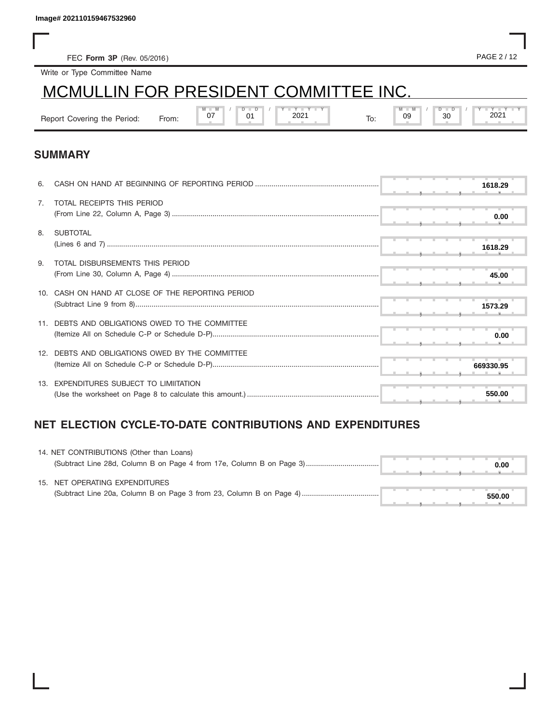# MCMULLIN FOR PRESIDENT COMMITTEE INC.

| lmage# 202110159467532960    |                                       |               |    |               |     |                     |           |  |  |
|------------------------------|---------------------------------------|---------------|----|---------------|-----|---------------------|-----------|--|--|
|                              |                                       |               |    |               |     |                     |           |  |  |
| FEC Form 3P (Rev. 05/2016)   |                                       |               |    |               |     |                     | PAGE 2/12 |  |  |
| Write or Type Committee Name |                                       |               |    |               |     |                     |           |  |  |
|                              | MCMULLIN FOR PRESIDENT COMMITTEE INC. |               |    |               |     |                     |           |  |  |
| Report Covering the Period:  | From:                                 | $M - M$<br>07 | 01 | Y Y Y<br>2021 | To: | $M - M$<br>30<br>09 | 2021      |  |  |

### **SUMMARY**

| 6.             |                                                 |  |  | 1618.29   |  |
|----------------|-------------------------------------------------|--|--|-----------|--|
| 7 <sub>1</sub> | TOTAL RECEIPTS THIS PERIOD                      |  |  | 0.00      |  |
| 8.             | <b>SUBTOTAL</b>                                 |  |  | 1618.29   |  |
| 9.             | TOTAL DISBURSEMENTS THIS PERIOD                 |  |  | 45.00     |  |
|                | CASH ON HAND AT CLOSE OF THE REPORTING PERIOD   |  |  | 1573.29   |  |
|                | DEBTS AND OBLIGATIONS OWED TO THE COMMITTEE     |  |  | 0.00      |  |
|                | 12. DEBTS AND OBLIGATIONS OWED BY THE COMMITTEE |  |  | 669330.95 |  |
|                | 13. EXPENDITURES SUBJECT TO LIMIITATION         |  |  | 550.00    |  |

## **NET ELECTION CYCLE-TO-DATE CONTRIBUTIONS AND EXPENDITURES**

| 14. NET CONTRIBUTIONS (Other than Loans) |  |  |  |        |  |
|------------------------------------------|--|--|--|--------|--|
|                                          |  |  |  | 0.00   |  |
| 15. NET OPERATING EXPENDITURES           |  |  |  |        |  |
|                                          |  |  |  | 550.00 |  |
|                                          |  |  |  |        |  |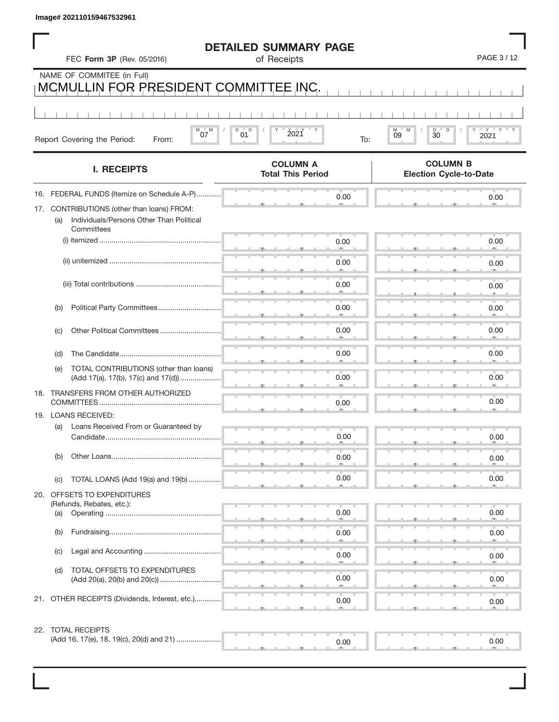| Image# 202110159467532961                                                                                   |                                             |                                                  |
|-------------------------------------------------------------------------------------------------------------|---------------------------------------------|--------------------------------------------------|
| FEC Form 3P (Rev. 05/2016)                                                                                  | <b>DETAILED SUMMARY PAGE</b><br>of Receipts | PAGE 3/12                                        |
| NAME OF COMMITEE (in Full)<br>MCMULLIN FOR PRESIDENT COMMITTEE INC.                                         |                                             |                                                  |
|                                                                                                             |                                             |                                                  |
| $-M$<br>M<br>07<br>Report Covering the Period:<br>From:                                                     | D<br>D<br>2021<br>01<br>To:                 | D<br>D<br>≡ γ ≡<br>M<br>09<br>30<br>2021         |
| <b>I. RECEIPTS</b>                                                                                          | <b>COLUMN A</b><br><b>Total This Period</b> | <b>COLUMN B</b><br><b>Election Cycle-to-Date</b> |
| 16. FEDERAL FUNDS (Itemize on Schedule A-P)                                                                 | 0.00                                        | 0.00                                             |
| 17. CONTRIBUTIONS (other than loans) FROM:<br>Individuals/Persons Other Than Political<br>(a)<br>Committees |                                             |                                                  |
|                                                                                                             | 0.00                                        | 0.00                                             |
|                                                                                                             | 0.00                                        | 0.00                                             |
|                                                                                                             | 0.00                                        | 0.00                                             |
| Political Party Committees<br>(b)                                                                           | 0.00                                        | 0.00                                             |
| Other Political Committees<br>(C)                                                                           | 0.00                                        | 0.00                                             |
| (d)                                                                                                         | 0.00                                        | 0.00                                             |
| TOTAL CONTRIBUTIONS (other than loans)<br>(e)<br>(Add 17(a), 17(b), 17(c) and 17(d))                        | 0.00                                        | 0.00                                             |
| 18. TRANSFERS FROM OTHER AUTHORIZED                                                                         |                                             |                                                  |
| 19. LOANS RECEIVED:                                                                                         | 0.00                                        | 0.00                                             |
| (a)<br>Loans Received From or Guaranteed by<br>Candidate                                                    | 0.00                                        | 0.00                                             |
| Other Loans<br>(b)                                                                                          | 0.00                                        | 0.00                                             |
| TOTAL LOANS (Add 19(a) and 19(b)<br>(C)                                                                     | 0.00                                        | 0.00                                             |
| 20. OFFSETS TO EXPENDITURES                                                                                 |                                             |                                                  |
| (Refunds, Rebates, etc.):<br>(a)                                                                            | 0.00                                        | 0.00                                             |
| Fundraising<br>(b)                                                                                          | 0.00                                        | 0.00                                             |
| (C)                                                                                                         | 0.00<br><b>/M)</b>                          | 0.00                                             |
| TOTAL OFFSETS TO EXPENDITURES<br>(d)                                                                        | 0.00                                        | 0.00                                             |
| 21. OTHER RECEIPTS (Dividends, Interest, etc.)                                                              | 0.00                                        | 0.00                                             |

22. TOTAL RECEIPTS

| -- - - - - - - - - - - - - - - |  |  |  |  |      |  |  |  |  |  |      |  |
|--------------------------------|--|--|--|--|------|--|--|--|--|--|------|--|
|                                |  |  |  |  | J.OO |  |  |  |  |  | 0.00 |  |
|                                |  |  |  |  |      |  |  |  |  |  |      |  |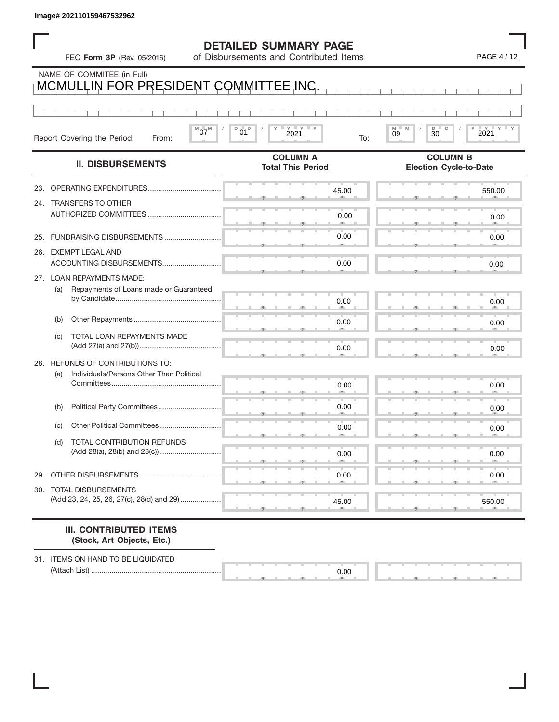|  | <b>DETAILED SUMMARY PAGE</b> |  |
|--|------------------------------|--|
|--|------------------------------|--|

|     |     | Image# 202110159467532962                                            |                                                                        |                                                  |
|-----|-----|----------------------------------------------------------------------|------------------------------------------------------------------------|--------------------------------------------------|
|     |     | FEC Form 3P (Rev. 05/2016)                                           | <b>DETAILED SUMMARY PAGE</b><br>of Disbursements and Contributed Items | PAGE 4 / 12                                      |
|     |     | NAME OF COMMITEE (in Full)<br>MCMULLIN FOR PRESIDENT COMMITTEE INC.  |                                                                        |                                                  |
|     |     | $^{M}07^{M}$                                                         | $Y$ $Y$<br>D<br>$01^D$                                                 | $_{09}^{\mathrm{M}}$<br>M<br>D<br>D              |
|     |     | Report Covering the Period:<br>From:                                 | 2021<br>To:                                                            | 2021<br>30                                       |
|     |     | <b>II. DISBURSEMENTS</b>                                             | <b>COLUMN A</b><br><b>Total This Period</b>                            | <b>COLUMN B</b><br><b>Election Cycle-to-Date</b> |
| 23. |     | OPERATING EXPENDITURES                                               | 45.00                                                                  | 550.00                                           |
|     |     | 24. TRANSFERS TO OTHER<br>AUTHORIZED COMMITTEES                      | 0.00                                                                   | 0.00                                             |
|     |     | 25. FUNDRAISING DISBURSEMENTS                                        | 0.00                                                                   | 0.00                                             |
|     |     | 26. EXEMPT LEGAL AND<br>ACCOUNTING DISBURSEMENTS                     | 0.00                                                                   | 0.00                                             |
|     | (a) | 27. LOAN REPAYMENTS MADE:                                            |                                                                        |                                                  |
|     |     | Repayments of Loans made or Guaranteed                               | 0.00                                                                   | 0.00                                             |
|     | (b) |                                                                      | 0.00                                                                   | 0.00                                             |
|     | (c) | TOTAL LOAN REPAYMENTS MADE                                           | 0.00                                                                   | 0.00                                             |
| 28. |     | REFUNDS OF CONTRIBUTIONS TO:                                         |                                                                        |                                                  |
|     | (a) | Individuals/Persons Other Than Political                             | 0.00                                                                   | 0.00                                             |
|     | (b) | Political Party Committees                                           | 0.00                                                                   | 0.00                                             |
|     | (C) | <b>Other Political Committees</b>                                    | 0.00                                                                   | 0.00                                             |
|     | (d) | TOTAL CONTRIBUTION REFUNDS                                           | 0.00                                                                   | 0.00                                             |
| 29. |     | OTHER DISBURSEMENTS                                                  | 0.00                                                                   | 0.00                                             |
|     |     | 30. TOTAL DISBURSEMENTS<br>(Add 23, 24, 25, 26, 27(c), 28(d) and 29) | 45.00                                                                  | 550.00                                           |
|     |     |                                                                      |                                                                        |                                                  |

#### **III. CONTRIBUTED ITEMS (Stock, Art Objects, Etc.)**

31. ITEMS ON HAND TO BE LIQUIDATED (Attach List) ................................................................

 $\frac{0.0}{0.4}$ 0.00

▲ ▲ ▲ , , .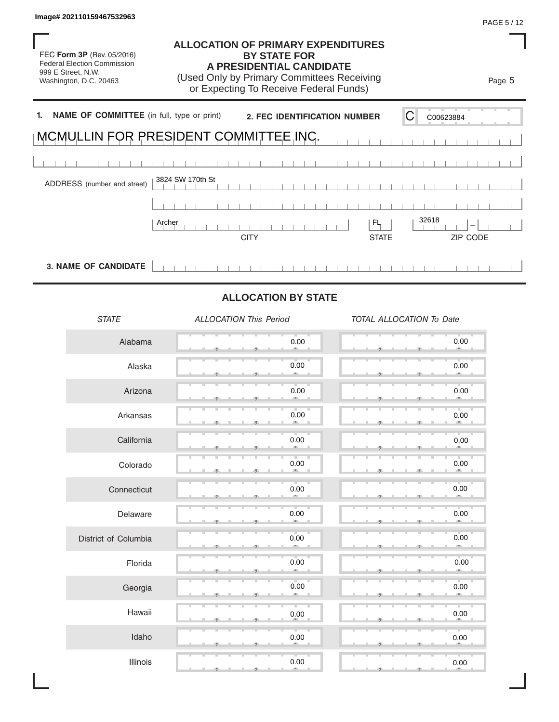FEC **Form 3P** (Rev. 05/2016) Federal Election Commission 999 E Street, N.W. Washington, D.C. 20463

### **ALLOCATION OF PRIMARY EXPENDITURES BY STATE FOR A PRESIDENTIAL CANDIDATE**

(Used Only by Primary Committees Receiving or Expecting To Receive Federal Funds)

**1. NAME OF COMMITTEE** (in full, type or print) ADDRESS (number and street) CITY STATE ZIP CODE 2. FEC IDENTIFICATION NUMBER C MCMULLIN FOR PRESIDENT COMMITTEE INC. 3824 SW 170th St Image# 202110159467532963<br>
THEC Form 3P (Rev. 05/2016)<br>
TEC Form 3P (Rev. 05/2016)<br>
SHE Street, N.W.<br>
Washington, D.C. 20463<br>
(Used Only by Primary Committees Receiving<br>
OF Expecting To Receive Federal Funds)<br> **ARAME OF CO** 

**3. NAME OF CANDIDATE**

# **ALLOCATION BY STATE**

*STATE ALLOCATION This Period TOTAL ALLOCATION To Date* Alabama Alaska Arizona Arkansas **California** Colorado **Connecticut** Delaware District of Columbia Florida Georgia Hawaii Idaho Illinois  $\frac{0.0}{0.0}$  $\bullet$  ,  $\bullet$  ,  $\bullet$  ,  $\bullet$  ,  $\bullet$  ,  $\bullet$  ,  $\bullet$  ,  $\bullet$  ,  $\bullet$  $\qquad \qquad 0.0$  ▲ ▲ ▲ , , .  $\bullet$  ,  $\bullet$  ,  $\bullet$  ,  $\bullet$  ,  $\bullet$  ,  $\bullet$  ,  $\bullet$  ,  $\bullet$  $\frac{0.0}{0.0}$  ▲ ▲ ▲ , , .  $\bullet$  ,  $\bullet$  ,  $\bullet$  ,  $\bullet$  ,  $\bullet$  ,  $\bullet$  ,  $\bullet$  ,  $\bullet$  ,  $\bullet$  $\bullet$  ,  $\bullet$  ,  $\bullet$  ,  $\bullet$  ,  $\bullet$  ,  $\bullet$  ,  $\bullet$  ,  $\bullet$  ,  $\bullet$  ,  $\bullet$  ,  $\bullet$  ,  $\bullet$  ,  $\bullet$  ,  $\bullet$  ,  $\bullet$  ,  $\bullet$  ,  $\bullet$  ,  $\bullet$  ,  $\bullet$  ,  $\bullet$  ,  $\bullet$  ,  $\bullet$  ,  $\bullet$  ,  $\bullet$  ,  $\bullet$  ,  $\bullet$  ,  $\bullet$  ,  $\bullet$  ,  $\bullet$  ,  $\bullet$  ,  $\bullet$  ,  $\bullet$  $\frac{1}{2}$  ,  $\frac{1}{2}$  ,  $\frac{1}{2}$  ,  $\frac{1}{2}$  ,  $\frac{1}{2}$  ,  $\frac{1}{2}$  ,  $\frac{1}{2}$  ,  $\frac{1}{2}$  ,  $\frac{1}{2}$  ,  $\frac{1}{2}$  ,  $\frac{1}{2}$  ,  $\frac{1}{2}$  ,  $\frac{1}{2}$  ,  $\frac{1}{2}$  ,  $\frac{1}{2}$  ,  $\frac{1}{2}$  ,  $\frac{1}{2}$  ,  $\frac{1}{2}$  ,  $\frac{1$  $\qquad \qquad 0.0$  $\bullet$  ,  $\bullet$  ,  $\bullet$  ,  $\bullet$  ,  $\bullet$  ,  $\bullet$  ,  $\bullet$  $\bullet$  ,  $\bullet$  ,  $\bullet$  ,  $\bullet$  ,  $\bullet$  ,  $\bullet$  ,  $\bullet$  ,  $\bullet$  $\bullet$  ,  $\bullet$  ,  $\bullet$  ,  $\bullet$  ,  $\bullet$  ,  $\bullet$  ,  $\bullet$  ,  $\bullet$  ,  $\bullet$  ,  $\bullet$  ,  $\bullet$  ,  $\bullet$  ,  $\bullet$  ,  $\bullet$  ,  $\bullet$  ,  $\bullet$  ,  $\bullet$  ,  $\bullet$  ,  $\bullet$  ,  $\bullet$  ,  $\bullet$  ,  $\bullet$  ,  $\bullet$  ,  $\bullet$  ,  $\bullet$  ,  $\bullet$  ,  $\bullet$  ,  $\bullet$  ,  $\bullet$  ,  $\bullet$  ,  $\bullet$  ,  $\bullet$  ▲ ▲ ▲ , , . ▲ ▲ ▲ , , .  $\qquad \qquad 0.0$  ▲ ▲ ▲ , , .  $\qquad \qquad 0.0$  ▲ ▲ ▲ , , .  $\rightarrow$  0.0  $\qquad \qquad 0.0$  $\bullet$  ,  $\bullet$  ,  $\bullet$  ,  $\bullet$  ,  $\bullet$  ,  $\bullet$  ,  $\bullet$  ,  $\bullet$  ,  $\bullet$  ,  $\bullet$  ,  $\bullet$  ,  $\bullet$  ,  $\bullet$  ,  $\bullet$  ,  $\bullet$  ,  $\bullet$  ,  $\bullet$  ,  $\bullet$  ,  $\bullet$  ,  $\bullet$  ,  $\bullet$  ,  $\bullet$  ,  $\bullet$  ,  $\bullet$  ,  $\bullet$  ,  $\bullet$  ,  $\bullet$  ,  $\bullet$  ,  $\bullet$  ,  $\bullet$  ,  $\bullet$  ,  $\bullet$  $\rightarrow$  0.0  $\frac{1}{2}$  ,  $\frac{1}{2}$  ,  $\frac{1}{2}$  ,  $\frac{1}{2}$  ,  $\frac{1}{2}$  ,  $\frac{1}{2}$  ,  $\frac{1}{2}$  ,  $\frac{1}{2}$  ,  $\frac{1}{2}$  ,  $\frac{1}{2}$  ,  $\frac{1}{2}$  ,  $\frac{1}{2}$  ,  $\frac{1}{2}$  ,  $\frac{1}{2}$  ,  $\frac{1}{2}$  ,  $\frac{1}{2}$  ,  $\frac{1}{2}$  ,  $\frac{1}{2}$  ,  $\frac{1$  $\bullet$  ,  $\bullet$  ,  $\bullet$  ,  $\bullet$  ,  $\bullet$  ,  $\bullet$  ,  $\bullet$  ,  $\bullet$  ,  $\bullet$  ,  $\bullet$  ,  $\bullet$  ,  $\bullet$  ,  $\bullet$  ,  $\bullet$  ,  $\bullet$  ,  $\bullet$  ,  $\bullet$  ,  $\bullet$  ,  $\bullet$  ,  $\bullet$  ,  $\bullet$  ,  $\bullet$  ,  $\bullet$  ,  $\bullet$  ,  $\bullet$  ,  $\bullet$  ,  $\bullet$  ,  $\bullet$  ,  $\bullet$  ,  $\bullet$  ,  $\bullet$  ,  $\bullet$  $\qquad \qquad 0.0$  $\rightarrow$  0.0  $0.00$  0.00 0.00 0.00 0.00 0.00  $0.00$  0.00 0.00 0.00  $0.00$  0.00 0.00 0.00  $0.00$  0.00 0.00 0.00 0.00 0.00 0.00 0.00  $0.00$  0.00  $0.00$  0.00  $0.00$  0.00

Page 5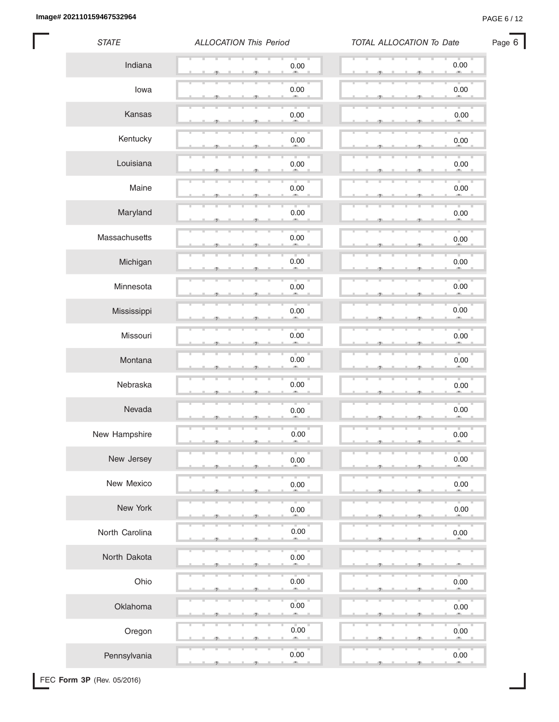**Image# 202110159467532964** PAGE 6 / 12

ı

| <b>STATE</b>   | <b>ALLOCATION This Period</b> | TOTAL ALLOCATION To Date |  |  |  |  |
|----------------|-------------------------------|--------------------------|--|--|--|--|
| Indiana        | 0.00                          | 0.00                     |  |  |  |  |
| lowa           | 0.00                          | 0.00                     |  |  |  |  |
| Kansas         | 0.00                          | $0.00\,$                 |  |  |  |  |
| Kentucky       | 0.00                          | 0.00                     |  |  |  |  |
| Louisiana      | 0.00                          | 0.00                     |  |  |  |  |
| Maine          | 0.00                          | $0.00\,$                 |  |  |  |  |
| Maryland       | 0.00                          | $0.00\,$                 |  |  |  |  |
| Massachusetts  | 0.00                          | $0.00\,$                 |  |  |  |  |
| Michigan       | 0.00                          | 0.00                     |  |  |  |  |
| Minnesota      | v<br>0.00<br>œ,               | T.<br>0.00<br>m          |  |  |  |  |
| Mississippi    | 0.00                          | $0.00\,$                 |  |  |  |  |
| Missouri       | 0.00                          | 0.00                     |  |  |  |  |
| Montana        | 0.00                          | 0.00                     |  |  |  |  |
| Nebraska       | 0.00                          | u.<br>v<br>0.00<br>-3    |  |  |  |  |
| Nevada         | 0.00                          | 0.00                     |  |  |  |  |
| New Hampshire  | 0.00                          | 0.00<br>-9               |  |  |  |  |
| New Jersey     | 0.00                          | 0.00                     |  |  |  |  |
| New Mexico     | 0.00                          | 0.00                     |  |  |  |  |
| New York       | 0.00                          | 0.00                     |  |  |  |  |
| North Carolina | 0.00                          | $0.00\,$                 |  |  |  |  |
| North Dakota   | $0.00\,$                      |                          |  |  |  |  |
| Ohio           | 0.00                          | 0.00                     |  |  |  |  |
| Oklahoma       | 0.00                          | 0.00                     |  |  |  |  |
| Oregon         | 0.00<br>œ                     | 0.00                     |  |  |  |  |
| Pennsylvania   | 0.00<br>m.                    | 0.00<br>æ.               |  |  |  |  |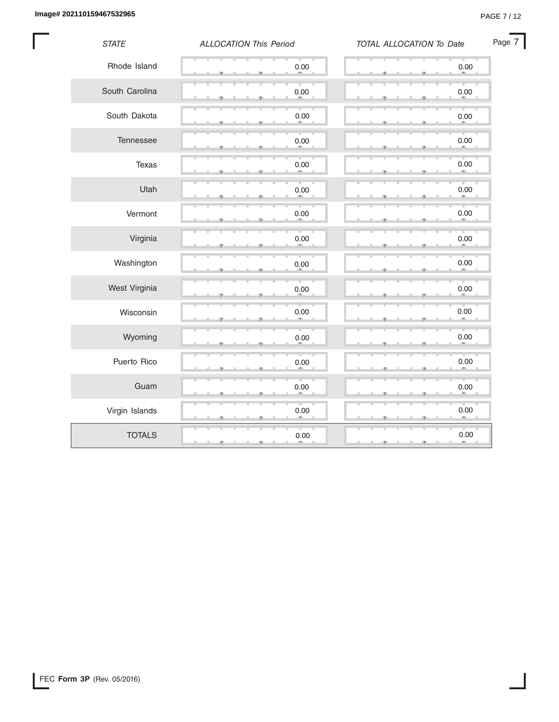I

| <b>STATE</b>   | <b>ALLOCATION This Period</b> | TOTAL ALLOCATION To Date | Page 7 |
|----------------|-------------------------------|--------------------------|--------|
| Rhode Island   | $0.00\,$                      | $0.00\,$                 |        |
| South Carolina | 0.00                          | 0.00                     |        |
| South Dakota   | 0.00                          | 0.00                     |        |
| Tennessee      | $0.00\,$                      | $0.00\,$                 |        |
| Texas          | 0.00                          | $0.00\,$                 |        |
| Utah           | $0.00\,$                      | 0.00<br>48.              |        |
| Vermont        | $0.00\,$                      | 0.00                     |        |
| Virginia       | 0.00                          | 0.00                     |        |
| Washington     | 0.00                          | 0.00                     |        |
| West Virginia  | $0.00\,$                      | $0.00\,$                 |        |
| Wisconsin      | 0.00                          | 0.00<br>m                |        |
| Wyoming        | $0.00\,$                      | $0.00\,$                 |        |
| Puerto Rico    | 0.00                          | 0.00                     |        |
| Guam           | 0.00                          | 0.00                     |        |
| Virgin Islands | 0.00                          | 0.00                     |        |
| <b>TOTALS</b>  | 0.00<br>э<br>э                | 0.00<br>Đ.<br>-91        |        |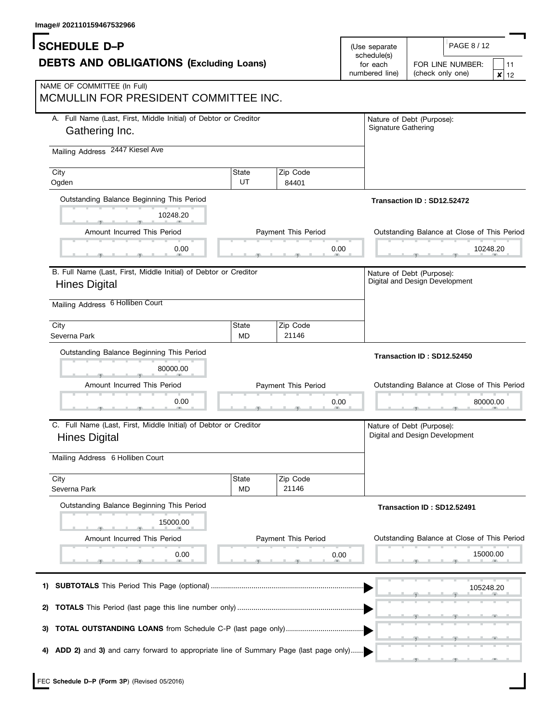| iiiidy <del>c#</del> zuz i iu i <del>39407 332900</del>                                    |                    |                     |                              |                                                                    |
|--------------------------------------------------------------------------------------------|--------------------|---------------------|------------------------------|--------------------------------------------------------------------|
| <b>SCHEDULE D-P</b>                                                                        |                    |                     | (Use separate<br>schedule(s) | PAGE 8 / 12                                                        |
| <b>DEBTS AND OBLIGATIONS (Excluding Loans)</b>                                             |                    |                     | for each<br>numbered line)   | FOR LINE NUMBER:<br>11<br>(check only one)<br>$\pmb{\times}$<br>12 |
| NAME OF COMMITTEE (In Full)<br>MCMULLIN FOR PRESIDENT COMMITTEE INC.                       |                    |                     |                              |                                                                    |
| A. Full Name (Last, First, Middle Initial) of Debtor or Creditor<br>Gathering Inc.         |                    |                     | Signature Gathering          | Nature of Debt (Purpose):                                          |
| Mailing Address 2447 Kiesel Ave                                                            |                    |                     |                              |                                                                    |
| City<br>Ogden                                                                              | State<br>UT        | Zip Code<br>84401   |                              |                                                                    |
| Outstanding Balance Beginning This Period                                                  |                    |                     |                              | Transaction ID: SD12.52472                                         |
| 10248.20                                                                                   |                    |                     |                              |                                                                    |
| Amount Incurred This Period                                                                |                    | Payment This Period |                              | Outstanding Balance at Close of This Period                        |
| 0.00                                                                                       |                    | 0.00                |                              | 10248.20                                                           |
| B. Full Name (Last, First, Middle Initial) of Debtor or Creditor                           |                    |                     |                              | Nature of Debt (Purpose):                                          |
| <b>Hines Digital</b>                                                                       |                    |                     |                              | Digital and Design Development                                     |
| Mailing Address 6 Holliben Court                                                           |                    |                     |                              |                                                                    |
| City<br>Severna Park                                                                       | State<br><b>MD</b> | Zip Code<br>21146   |                              |                                                                    |
| Outstanding Balance Beginning This Period                                                  |                    |                     |                              | Transaction ID: SD12.52450                                         |
| 80000.00                                                                                   |                    |                     |                              |                                                                    |
| Amount Incurred This Period                                                                |                    | Payment This Period |                              | Outstanding Balance at Close of This Period                        |
| 0.00                                                                                       |                    | 0.00                |                              | 80000.00                                                           |
| C. Full Name (Last, First, Middle Initial) of Debtor or Creditor<br><b>Hines Digital</b>   |                    |                     |                              | Nature of Debt (Purpose):<br>Digital and Design Development        |
| Mailing Address 6 Holliben Court                                                           |                    |                     |                              |                                                                    |
| City<br>Severna Park                                                                       | State<br><b>MD</b> | Zip Code<br>21146   |                              |                                                                    |
| Outstanding Balance Beginning This Period                                                  |                    |                     |                              | Transaction ID: SD12.52491                                         |
| 15000.00                                                                                   |                    |                     |                              |                                                                    |
| Amount Incurred This Period                                                                |                    | Payment This Period |                              | Outstanding Balance at Close of This Period                        |
| 0.00                                                                                       |                    | 0.00                |                              | 15000.00                                                           |
| 1)                                                                                         |                    |                     |                              | 105248.20                                                          |
| 2)                                                                                         |                    |                     |                              |                                                                    |
| <b>TOTAL OUTSTANDING LOANS</b> from Schedule C-P (last page only)<br>3)                    |                    |                     |                              |                                                                    |
| ADD 2) and 3) and carry forward to appropriate line of Summary Page (last page only)<br>4) |                    |                     |                              |                                                                    |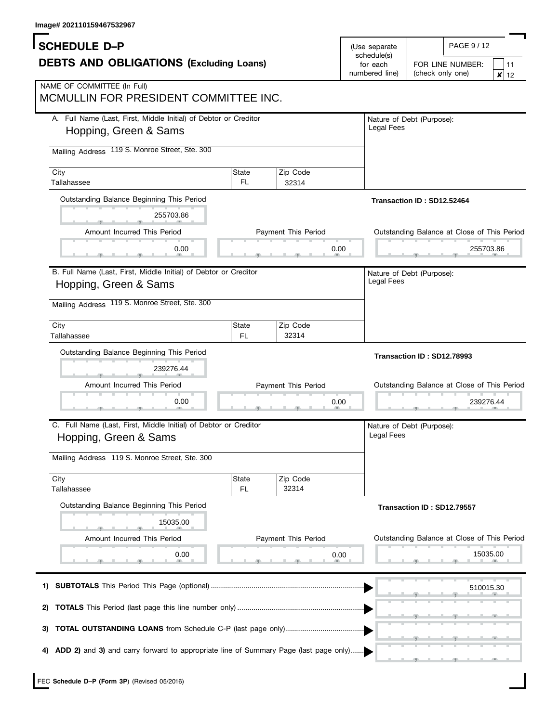| image# 202110159467532967                                                                                                                   |              |                     |                   |                                                                                        |
|---------------------------------------------------------------------------------------------------------------------------------------------|--------------|---------------------|-------------------|----------------------------------------------------------------------------------------|
| <b>SCHEDULE D-P</b><br>(Use separate<br>schedule(s)<br><b>DEBTS AND OBLIGATIONS (Excluding Loans)</b>                                       |              |                     |                   | PAGE 9/12<br>FOR LINE NUMBER:<br>11                                                    |
| NAME OF COMMITTEE (In Full)<br>MCMULLIN FOR PRESIDENT COMMITTEE INC.                                                                        |              |                     | numbered line)    | (check only one)<br>$\pmb{\times}$<br>12                                               |
| A. Full Name (Last, First, Middle Initial) of Debtor or Creditor<br>Hopping, Green & Sams<br>Mailing Address 119 S. Monroe Street, Ste. 300 |              |                     | <b>Legal Fees</b> | Nature of Debt (Purpose):                                                              |
| City<br>Tallahassee                                                                                                                         | State<br>FL. | Zip Code<br>32314   |                   |                                                                                        |
| Outstanding Balance Beginning This Period<br>255703.86                                                                                      |              |                     |                   | Transaction ID: SD12.52464                                                             |
| Amount Incurred This Period                                                                                                                 |              | Payment This Period |                   | Outstanding Balance at Close of This Period                                            |
| 0.00                                                                                                                                        |              |                     | 0.00              | 255703.86                                                                              |
| B. Full Name (Last, First, Middle Initial) of Debtor or Creditor<br>Hopping, Green & Sams<br>Mailing Address 119 S. Monroe Street, Ste. 300 |              |                     | Legal Fees        | Nature of Debt (Purpose):                                                              |
| City<br>Tallahassee                                                                                                                         | State<br>FL. | Zip Code<br>32314   |                   |                                                                                        |
|                                                                                                                                             |              |                     |                   |                                                                                        |
| Outstanding Balance Beginning This Period<br>239276.44<br>Amount Incurred This Period<br>0.00                                               |              | Payment This Period | 0.00              | Transaction ID: SD12.78993<br>Outstanding Balance at Close of This Period<br>239276.44 |
| C. Full Name (Last, First, Middle Initial) of Debtor or Creditor<br>Hopping, Green & Sams                                                   |              |                     | Legal Fees        | Nature of Debt (Purpose):                                                              |
| Mailing Address 119 S. Monroe Street, Ste. 300                                                                                              |              |                     |                   |                                                                                        |
| City<br>Tallahassee                                                                                                                         | State<br>FL. | Zip Code<br>32314   |                   |                                                                                        |
| Outstanding Balance Beginning This Period<br>15035.00                                                                                       |              |                     |                   | Transaction ID: SD12.79557                                                             |
| Amount Incurred This Period                                                                                                                 |              | Payment This Period |                   | Outstanding Balance at Close of This Period                                            |
| 0.00                                                                                                                                        |              |                     | 0.00              | 15035.00                                                                               |
| 1)                                                                                                                                          |              |                     |                   | 510015.30                                                                              |
| 2)                                                                                                                                          |              |                     |                   |                                                                                        |
| <b>TOTAL OUTSTANDING LOANS</b> from Schedule C-P (last page only)<br>3)                                                                     |              |                     |                   |                                                                                        |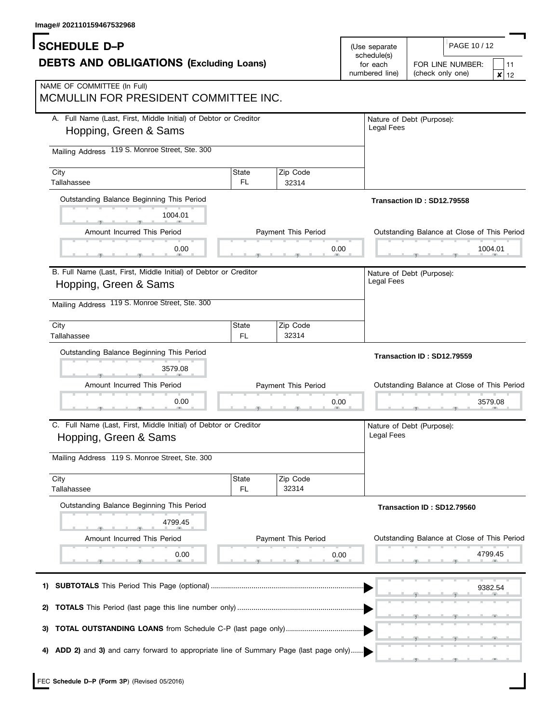| image# zuz11015946753z968                                                                                                                   |                     |                             |                               |                                                        |  |
|---------------------------------------------------------------------------------------------------------------------------------------------|---------------------|-----------------------------|-------------------------------|--------------------------------------------------------|--|
| <b>SCHEDULE D-P</b><br><b>DEBTS AND OBLIGATIONS (Excluding Loans)</b>                                                                       |                     |                             | (Use separate)<br>schedule(s) | PAGE 10 / 12                                           |  |
|                                                                                                                                             |                     |                             | for each<br>numbered line)    | FOR LINE NUMBER:<br>11<br>(check only one)<br>×<br>12  |  |
| NAME OF COMMITTEE (In Full)<br>MCMULLIN FOR PRESIDENT COMMITTEE INC.                                                                        |                     |                             |                               |                                                        |  |
| A. Full Name (Last, First, Middle Initial) of Debtor or Creditor<br>Hopping, Green & Sams                                                   |                     |                             | Legal Fees                    | Nature of Debt (Purpose):                              |  |
| 119 S. Monroe Street, Ste. 300<br><b>Mailing Address</b>                                                                                    |                     |                             |                               |                                                        |  |
| City<br>Tallahassee                                                                                                                         | State<br>FL         | Zip Code<br>32314           |                               |                                                        |  |
| Outstanding Balance Beginning This Period<br>1004.01                                                                                        |                     |                             |                               | Transaction ID: SD12.79558                             |  |
| Amount Incurred This Period                                                                                                                 | Payment This Period |                             |                               | Outstanding Balance at Close of This Period            |  |
| 0.00                                                                                                                                        |                     | 0.00                        |                               | 1004.01                                                |  |
| B. Full Name (Last, First, Middle Initial) of Debtor or Creditor<br>Hopping, Green & Sams<br>Mailing Address 119 S. Monroe Street, Ste. 300 |                     |                             | Legal Fees                    | Nature of Debt (Purpose):                              |  |
| City<br>Tallahassee                                                                                                                         | State<br><b>FL</b>  | Zip Code<br>32314           |                               |                                                        |  |
|                                                                                                                                             |                     |                             |                               |                                                        |  |
| Outstanding Balance Beginning This Period                                                                                                   |                     |                             |                               |                                                        |  |
| 3579.08                                                                                                                                     |                     |                             |                               | Transaction ID: SD12.79559                             |  |
| Amount Incurred This Period                                                                                                                 |                     | Payment This Period         |                               | Outstanding Balance at Close of This Period            |  |
| 0.00                                                                                                                                        |                     | 0.00                        |                               | 3579.08                                                |  |
| C. Full Name (Last, First, Middle Initial) of Debtor or Creditor<br>Hopping, Green & Sams                                                   |                     |                             | Legal Fees                    | Nature of Debt (Purpose):                              |  |
| Mailing Address 119 S. Monroe Street, Ste. 300                                                                                              |                     |                             |                               |                                                        |  |
| City<br>Tallahassee                                                                                                                         | State<br><b>FL</b>  | Zip Code<br>32314           |                               |                                                        |  |
| Outstanding Balance Beginning This Period                                                                                                   |                     |                             |                               | Transaction ID: SD12.79560                             |  |
| 4799.45                                                                                                                                     |                     |                             |                               |                                                        |  |
| Amount Incurred This Period<br>0.00                                                                                                         |                     | Payment This Period<br>0.00 |                               | Outstanding Balance at Close of This Period<br>4799.45 |  |
|                                                                                                                                             |                     |                             |                               |                                                        |  |
| 1)                                                                                                                                          |                     |                             |                               | 9382.54                                                |  |
| 2)                                                                                                                                          |                     |                             |                               |                                                        |  |
| 3)<br>ADD 2) and 3) and carry forward to appropriate line of Summary Page (last page only)                                                  |                     |                             |                               |                                                        |  |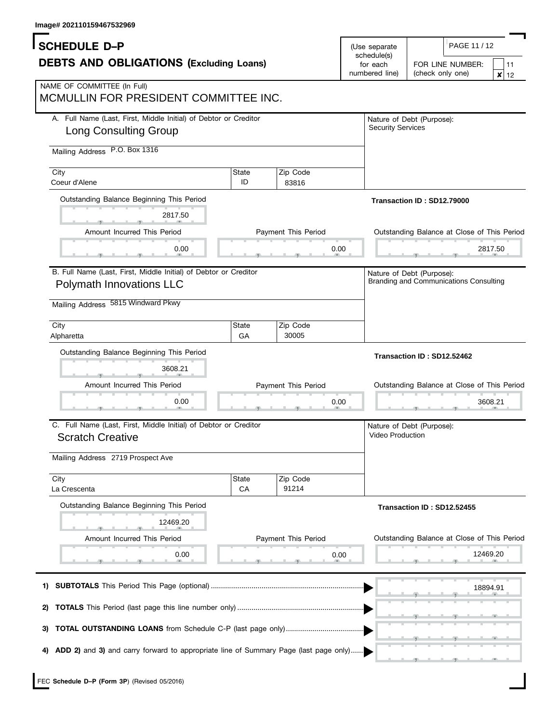| image# zuz i iu i 39407 332909                                                                   |                    |                             |                                           |                                                                     |
|--------------------------------------------------------------------------------------------------|--------------------|-----------------------------|-------------------------------------------|---------------------------------------------------------------------|
| <b>SCHEDULE D-P</b><br><b>DEBTS AND OBLIGATIONS (Excluding Loans)</b>                            |                    |                             | (Use separate                             | PAGE 11 / 12                                                        |
|                                                                                                  |                    |                             | schedule(s)<br>for each<br>numbered line) | FOR LINE NUMBER:<br>11<br>(check only one)<br>×<br>12               |
| NAME OF COMMITTEE (In Full)<br>MCMULLIN FOR PRESIDENT COMMITTEE INC.                             |                    |                             |                                           |                                                                     |
| A. Full Name (Last, First, Middle Initial) of Debtor or Creditor<br><b>Long Consulting Group</b> |                    |                             | <b>Security Services</b>                  | Nature of Debt (Purpose):                                           |
| P.O. Box 1316<br><b>Mailing Address</b>                                                          |                    |                             |                                           |                                                                     |
| City<br>Coeur d'Alene                                                                            | State<br>ID        | Zip Code<br>83816           |                                           |                                                                     |
| Outstanding Balance Beginning This Period                                                        |                    |                             |                                           | Transaction ID: SD12.79000                                          |
| 2817.50<br>Amount Incurred This Period                                                           |                    | Payment This Period         |                                           | Outstanding Balance at Close of This Period                         |
| 0.00                                                                                             | 0.00               |                             |                                           | 2817.50                                                             |
| B. Full Name (Last, First, Middle Initial) of Debtor or Creditor<br>Polymath Innovations LLC     |                    |                             |                                           | Nature of Debt (Purpose):<br>Branding and Communications Consulting |
| Mailing Address 5815 Windward Pkwy                                                               |                    |                             |                                           |                                                                     |
| City<br>Alpharetta                                                                               | State<br>GA        | Zip Code<br>30005           |                                           |                                                                     |
|                                                                                                  |                    |                             |                                           |                                                                     |
| Outstanding Balance Beginning This Period<br>3608.21                                             |                    |                             |                                           | Transaction ID: SD12.52462                                          |
| Amount Incurred This Period                                                                      |                    | Payment This Period         |                                           | Outstanding Balance at Close of This Period                         |
| 0.00                                                                                             |                    | 0.00                        |                                           | 3608.21                                                             |
| C. Full Name (Last, First, Middle Initial) of Debtor or Creditor<br><b>Scratch Creative</b>      |                    |                             | Video Production                          | Nature of Debt (Purpose):                                           |
| Mailing Address 2719 Prospect Ave                                                                |                    |                             |                                           |                                                                     |
| City<br>La Crescenta                                                                             | <b>State</b><br>CA | Zip Code<br>91214           |                                           |                                                                     |
| Outstanding Balance Beginning This Period                                                        |                    |                             |                                           | Transaction ID: SD12.52455                                          |
| 12469.20                                                                                         |                    |                             |                                           |                                                                     |
| Amount Incurred This Period<br>0.00                                                              |                    | Payment This Period<br>0.00 |                                           | Outstanding Balance at Close of This Period<br>12469.20             |
|                                                                                                  |                    |                             |                                           | 18894.91                                                            |
| 2)                                                                                               |                    |                             |                                           |                                                                     |
| 3)                                                                                               |                    |                             |                                           |                                                                     |